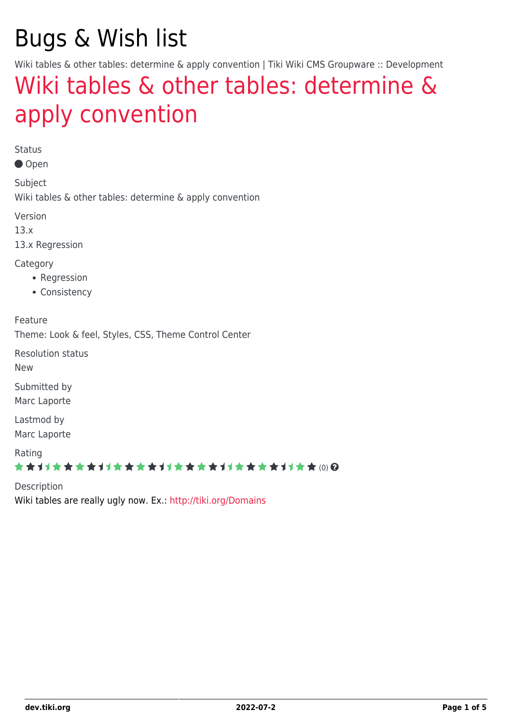# Bugs & Wish list

Wiki tables & other tables: determine & apply convention | Tiki Wiki CMS Groupware :: Development

# [Wiki tables & other tables: determine &](https://dev.tiki.org/item5390-Wiki-tables-other-tables-determine-apply-convention) [apply convention](https://dev.tiki.org/item5390-Wiki-tables-other-tables-determine-apply-convention)

Status

● Open

Subject Wiki tables & other tables: determine & apply convention

Version

13.x

13.x Regression

**Category** 

- Regression
- Consistency

Feature

Theme: Look & feel, Styles, CSS, Theme Control Center

Resolution status

New

Submitted by Marc Laporte

Lastmod by Marc Laporte

Rating

#### \*\*\*\*\*\*\*\*\*\*\*\*\*\*\*\*\*\*\*\*\*\*\*\*\*\*\*\*\*\*

Description Wiki tables are really ugly now. Ex.:<http://tiki.org/Domains>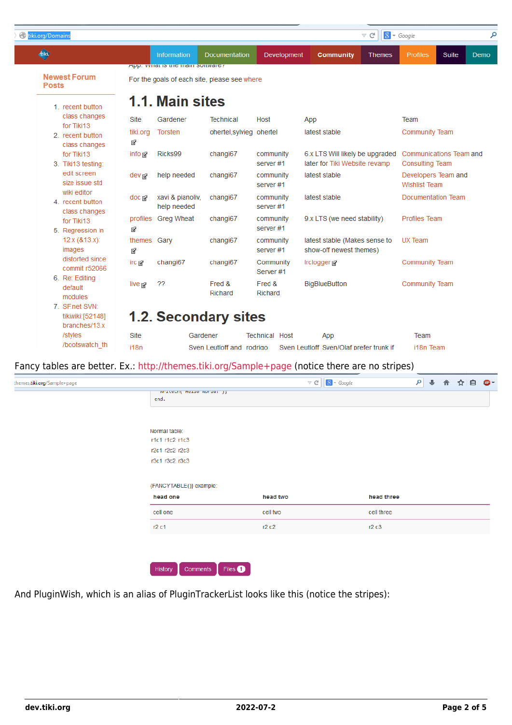| tiki.org/Domains                                    |                   |                                              |                                              |                       | $\triangledown$ C                                                | $8 - Google$                                      |
|-----------------------------------------------------|-------------------|----------------------------------------------|----------------------------------------------|-----------------------|------------------------------------------------------------------|---------------------------------------------------|
| 每                                                   |                   | Information                                  | Documentation                                | Development           | Community<br><b>Themes</b>                                       | Profiles<br>Suite<br>Demo                         |
| <b>Newest Forum</b><br><b>Posts</b>                 |                   | <u>Αμμ. ννιται το τιτα πταιτι δυτινατα ε</u> | For the goals of each site, please see where |                       |                                                                  |                                                   |
| 1. recent button                                    |                   | 1.1. Main sites                              |                                              |                       |                                                                  |                                                   |
| class changes                                       | <b>Site</b>       | Gardener                                     | <b>Technical</b>                             | Host                  | App                                                              | Team                                              |
| for Tiki13<br>2. recent button<br>class changes     | tiki.org<br>囪     | Torsten                                      | ohertel, sylvieg ohertel                     |                       | latest stable                                                    | <b>Community Team</b>                             |
| for Tiki13<br>3. Tiki13 testing:                    | info <sub>M</sub> | Ricks99                                      | changi67                                     | community<br>server#1 | 6.x LTS Will likely be upgraded<br>later for Tiki Website revamp | Communications Team and<br><b>Consulting Team</b> |
| edit screen<br>size issue std                       | dev <sub>r</sub>  | help needed                                  | changi67                                     | community<br>server#1 | latest stable                                                    | Developers Team and<br><b>Wishlist Team</b>       |
| wiki editor<br>4. recent button                     | doc ra            | xavi & pianoliv,<br>help needed              | changi67                                     | community<br>server#1 | latest stable                                                    | Documentation Team                                |
| class changes<br>for Tiki13<br>5. Regression in     | profiles<br>囪     | <b>Greg Wheat</b>                            | changi67                                     | community<br>server#1 | 9.x LTS (we need stability)                                      | <b>Profiles Team</b>                              |
| 12.x(813.x):<br>images                              | themes Gary<br>囪  |                                              | changi67                                     | community<br>server#1 | latest stable (Makes sense to<br>show-off newest themes)         | <b>UX Team</b>                                    |
| distorted since<br>commit r52066                    | irc M             | changi67                                     | changi67                                     | Community<br>Server#1 | <b>Irclogger@</b>                                                | <b>Community Team</b>                             |
| 6. Re: Editing<br>default<br>modules                | live <sub>r</sub> | ??                                           | Fred &<br>Richard                            | Fred &<br>Richard     | <b>BigBlueButton</b>                                             | <b>Community Team</b>                             |
| 7. SF.net SVN:<br>tikiwiki:[52148]<br>branches/13.x |                   |                                              | <b>1.2. Secondary sites</b>                  |                       |                                                                  |                                                   |
| /styles                                             | Site              |                                              | Gardener                                     | <b>Technical Host</b> | App                                                              | Team                                              |
| /bootswatch th                                      | i18n              |                                              | Sven Leutloff and rodrigo                    |                       | Sven Leutloff Sven/Olaf prefer trunk if                          | i18n Team                                         |

#### Fancy tables are better. Ex.: <http://themes.tiki.org/Sample+page> (notice there are no stripes)

| themes.tiki.org/Sample+page |                                  |          | $\nabla C$ $\bigg \bigg  8$ $\cdot$ Google |            | م | ⊕ | 合 | ☆ | 自 | $ABP =$ |
|-----------------------------|----------------------------------|----------|--------------------------------------------|------------|---|---|---|---|---|---------|
|                             | writern( neito worta: );<br>end. |          |                                            |            |   |   |   |   |   |         |
|                             |                                  |          |                                            |            |   |   |   |   |   |         |
|                             | Normal table:                    |          |                                            |            |   |   |   |   |   |         |
|                             | r1c1 r1c2 r1c3                   |          |                                            |            |   |   |   |   |   |         |
|                             | r2c1 r2c2 r2c3                   |          |                                            |            |   |   |   |   |   |         |
|                             | r3c1 r3c2 r3c3                   |          |                                            |            |   |   |   |   |   |         |
|                             |                                  |          |                                            |            |   |   |   |   |   |         |
|                             | {FANCYTABLE()} example:          |          |                                            |            |   |   |   |   |   |         |
|                             | head one                         | head two |                                            | head three |   |   |   |   |   |         |
|                             | cell one                         | cell two |                                            | cell three |   |   |   |   |   |         |
|                             | r2 c1                            | r2c2     |                                            | r2c3       |   |   |   |   |   |         |
|                             |                                  |          |                                            |            |   |   |   |   |   |         |
|                             |                                  |          |                                            |            |   |   |   |   |   |         |
|                             |                                  |          |                                            |            |   |   |   |   |   |         |
|                             | Files 1<br>History<br>Comments   |          |                                            |            |   |   |   |   |   |         |

And PluginWish, which is an alias of PluginTrackerList looks like this (notice the stripes):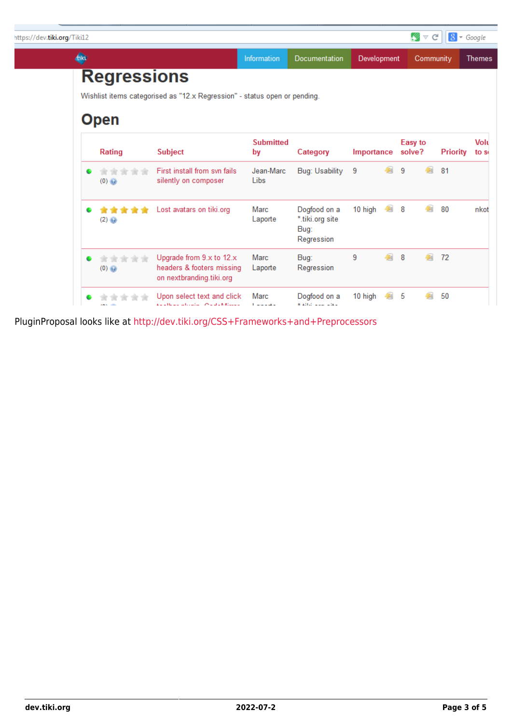| https://dev.tiki.org/Tiki12 |   |                    |                                                                                   |                          |                                                       |             |   | Ø                 | $\vee$ G  | $8 - Google$    |               |
|-----------------------------|---|--------------------|-----------------------------------------------------------------------------------|--------------------------|-------------------------------------------------------|-------------|---|-------------------|-----------|-----------------|---------------|
|                             | ⊕ |                    |                                                                                   | <b>Information</b>       | Documentation                                         | Development |   |                   | Community |                 | <b>Themes</b> |
|                             |   | <b>Regressions</b> | Wishlist items categorised as "12.x Regression" - status open or pending.         |                          |                                                       |             |   |                   |           |                 |               |
|                             |   | <b>Open</b>        |                                                                                   |                          |                                                       |             |   |                   |           |                 |               |
|                             |   | Rating             | <b>Subject</b>                                                                    | <b>Submitted</b><br>by   | Category                                              | Importance  |   | Easy to<br>solve? |           | <b>Priority</b> | Volt<br>to so |
|                             |   | (0)                | First install from syn fails<br>silently on composer                              | Jean-Marc<br>Libs        | Bug: Usability                                        | - 9         | 學 | 9                 | 鋾         | 81              |               |
|                             | ۰ | *****<br>(2)       | Lost avatars on tiki.org                                                          | Marc<br>Laporte          | Dogfood on a<br>*.tiki.org site<br>Bug:<br>Regression | 10 high 2 8 |   |                   | 鋾         | 80              | nkot          |
|                             |   | <b>会会</b><br>(0)   | Upgrade from 9.x to 12.x<br>headers & footers missing<br>on nextbranding.tiki.org | Marc<br>Laporte          | Bug:<br>Regression                                    | 9           | 鋾 | 8                 | 匔         | 72              |               |
|                             |   | <b>COLL</b>        | Upon select text and click<br><b>And House and Carlier Constant Minimum</b>       | Marc<br>والمستوات والمنا | Dogfood on a<br>* Allah sasa salasa                   | 10 high     |   | 5                 |           | 50              |               |

PluginProposal looks like at<http://dev.tiki.org/CSS+Frameworks+and+Preprocessors>

L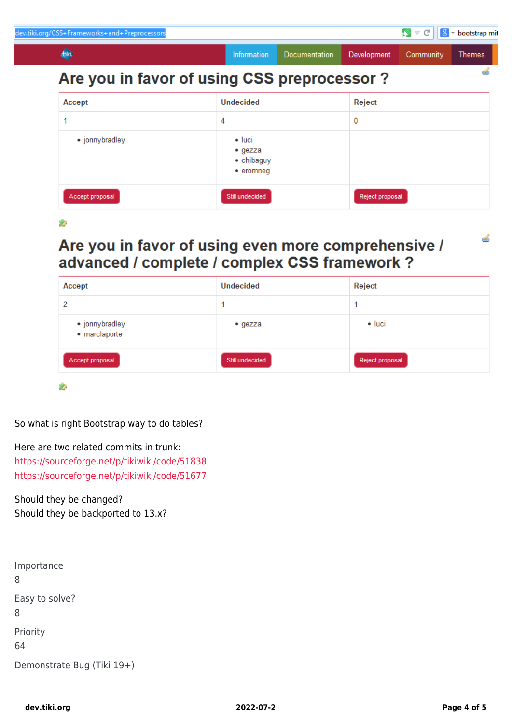| ev.tiki.org/CSS+Frameworks+and+Preprocessors |                                                                              |               |                 | My d      | $8$ - bootstrap mit |
|----------------------------------------------|------------------------------------------------------------------------------|---------------|-----------------|-----------|---------------------|
| <b>di</b> d                                  | Information                                                                  | Documentation | Development     | Community | Themes              |
| Are you in favor of using CSS preprocessor?  |                                                                              |               |                 |           |                     |
| Accept                                       | <b>Undecided</b>                                                             |               | Reject          |           |                     |
|                                              | 4                                                                            |               | 0               |           |                     |
| • jonnybradley                               | $\bullet$ luci<br>$\bullet$ gezza<br>$\bullet$ chibaguy<br>$\bullet$ eromneg |               |                 |           |                     |
| Accept proposal                              | Still undecided                                                              |               | Reject proposal |           |                     |

#### $\bullet$

### Are you in favor of using even more comprehensive / advanced / complete / complex CSS framework ?

| Accept                          | <b>Undecided</b> | Reject          |
|---------------------------------|------------------|-----------------|
| 2                               |                  |                 |
| • jonnybradley<br>• marclaporte | $\bullet$ gezza  | $\bullet$ luci  |
| Accept proposal                 | Still undecided  | Reject proposal |

ż.

So what is right Bootstrap way to do tables?

Here are two related commits in trunk: <https://sourceforge.net/p/tikiwiki/code/51838> <https://sourceforge.net/p/tikiwiki/code/51677>

Should they be changed? Should they be backported to 13.x?

| Importance<br>8            |
|----------------------------|
| Easy to solve?<br>8        |
| Priority<br>64             |
| Demonstrate Bug (Tiki 19+) |

త